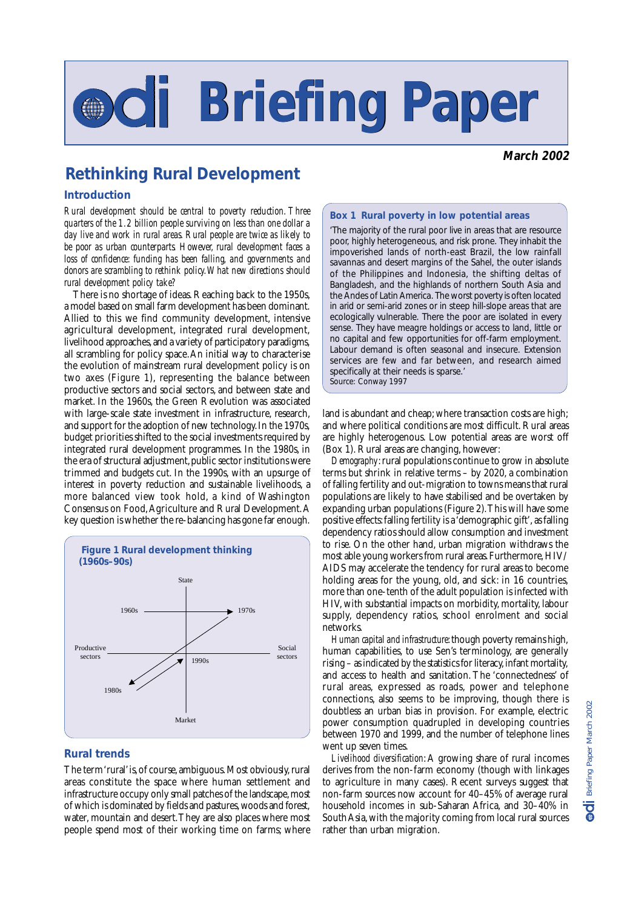# **Briefing Paper Briefing Paper**

**March 2002**

### **Rethinking Rural Development**

#### **Introduction**

*Rural development should be central to poverty reduction. Three quarters of the 1.2 billion people surviving on less than one dollar a day live and work in rural areas. Rural people are twice as likely to be poor as urban counterparts. However, rural development faces a loss of confidence: funding has been falling, and governments and donors are scrambling to rethink policy. What new directions should rural development policy take?*

There is no shortage of ideas. Reaching back to the 1950s, a model based on small farm development has been dominant. Allied to this we find community development, intensive agricultural development, integrated rural development, livelihood approaches, and a variety of participatory paradigms, all scrambling for policy space. An initial way to characterise the evolution of mainstream rural development policy is on two axes (Figure 1), representing the balance between productive sectors and social sectors, and between state and market. In the 1960s, the Green Revolution was associated with large-scale state investment in infrastructure, research, and support for the adoption of new technology. In the 1970s, budget priorities shifted to the social investments required by integrated rural development programmes. In the 1980s, in the era of structural adjustment, public sector institutions were trimmed and budgets cut. In the 1990s, with an upsurge of interest in poverty reduction and sustainable livelihoods, a more balanced view took hold, a kind of Washington Consensus on Food, Agriculture and Rural Development. A key question is whether the re-balancing has gone far enough.



#### **Rural trends**

The term 'rural' is, of course, ambiguous. Most obviously, rural areas constitute the space where human settlement and infrastructure occupy only small patches of the landscape, most of which is dominated by fields and pastures, woods and forest, water, mountain and desert. They are also places where most people spend most of their working time on farms; where

#### **Box 1 Rural poverty in low potential areas**

'The majority of the rural poor live in areas that are resource poor, highly heterogeneous, and risk prone. They inhabit the impoverished lands of north-east Brazil, the low rainfall savannas and desert margins of the Sahel, the outer islands of the Philippines and Indonesia, the shifting deltas of Bangladesh, and the highlands of northern South Asia and the Andes of Latin America. The worst poverty is often located in arid or semi-arid zones or in steep hill-slope areas that are ecologically vulnerable. There the poor are isolated in every sense. They have meagre holdings or access to land, little or no capital and few opportunities for off-farm employment. Labour demand is often seasonal and insecure. Extension services are few and far between, and research aimed specifically at their needs is sparse.' *Source*: Conway 1997

land is abundant and cheap; where transaction costs are high; and where political conditions are most difficult. Rural areas are highly heterogenous. Low potential areas are worst off (Box 1). Rural areas are changing, however:

*Demography*: rural populations continue to grow in absolute terms but shrink in relative terms – by 2020, a combination of falling fertility and out-migration to towns means that rural populations are likely to have stabilised and be overtaken by expanding urban populations (Figure 2). This will have some positive effects: falling fertility is a 'demographic gift', as falling dependency ratios should allow consumption and investment to rise. On the other hand, urban migration withdraws the most able young workers from rural areas. Furthermore, HIV/ AIDS may accelerate the tendency for rural areas to become holding areas for the young, old, and sick: in 16 countries, more than one-tenth of the adult population is infected with HIV, with substantial impacts on morbidity, mortality, labour supply, dependency ratios, school enrolment and social networks.

*Human capital and infrastructure*: though poverty remains high, human capabilities, to use Sen's terminology, are generally rising – as indicated by the statistics for literacy, infant mortality, and access to health and sanitation. The 'connectedness' of rural areas, expressed as roads, power and telephone connections, also seems to be improving, though there is doubtless an urban bias in provision. For example, electric power consumption quadrupled in developing countries between 1970 and 1999, and the number of telephone lines went up seven times.

*Livelihood diversification*: A growing share of rural incomes derives from the non-farm economy (though with linkages to agriculture in many cases). Recent surveys suggest that non-farm sources now account for 40–45% of average rural household incomes in sub-Saharan Africa, and 30–40% in South Asia, with the majority coming from local rural sources rather than urban migration.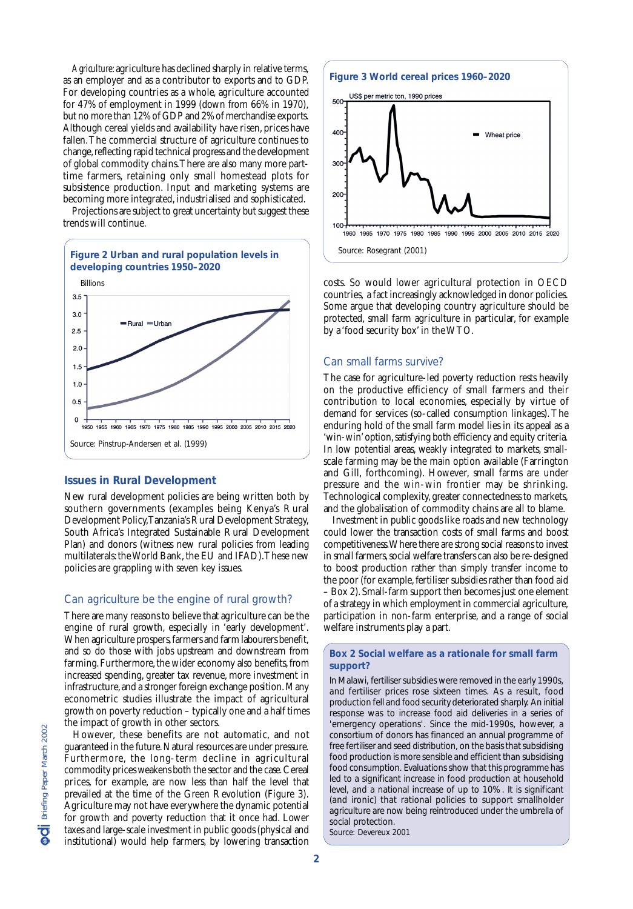*Agriculture*: agriculture has declined sharply in relative terms, as an employer and as a contributor to exports and to GDP. For developing countries as a whole, agriculture accounted for 47% of employment in 1999 (down from 66% in 1970), but no more than 12% of GDP and 2% of merchandise exports. Although cereal yields and availability have risen, prices have fallen. The commercial structure of agriculture continues to change, reflecting rapid technical progress and the development of global commodity chains. There are also many more parttime farmers, retaining only small homestead plots for subsistence production. Input and marketing systems are becoming more integrated, industrialised and sophisticated.

Projections are subject to great uncertainty but suggest these trends will continue.



#### **Issues in Rural Development**

New rural development policies are being written both by southern governments (examples being Kenya's Rural Development Policy, Tanzania's Rural Development Strategy, South Africa's Integrated Sustainable Rural Development Plan) and donors (witness new rural policies from leading multilaterals: the World Bank, the EU and IFAD). These new policies are grappling with seven key issues.

#### Can agriculture be the engine of rural growth?

There are many reasons to believe that agriculture can be the engine of rural growth, especially in 'early development'. When agriculture prospers, farmers and farm labourers benefit, and so do those with jobs upstream and downstream from farming. Furthermore, the wider economy also benefits, from increased spending, greater tax revenue, more investment in infrastructure, and a stronger foreign exchange position. Many econometric studies illustrate the impact of agricultural growth on poverty reduction – typically one and a half times the impact of growth in other sectors.

However, these benefits are not automatic, and not guaranteed in the future. Natural resources are under pressure. Furthermore, the long-term decline in agricultural commodity prices weakens both the sector and the case. Cereal prices, for example, are now less than half the level that prevailed at the time of the Green Revolution (Figure 3). Agriculture may not have everywhere the dynamic potential for growth and poverty reduction that it once had. Lower taxes and large-scale investment in public goods (physical and institutional) would help farmers, by lowering transaction

## **Figure 3 World cereal prices 1960–2020**



costs. So would lower agricultural protection in OECD countries, a fact increasingly acknowledged in donor policies. Some argue that developing country agriculture should be protected, small farm agriculture in particular, for example by a 'food security box' in the WTO.

#### Can small farms survive?

The case for agriculture-led poverty reduction rests heavily on the productive efficiency of small farmers and their contribution to local economies, especially by virtue of demand for services (so-called consumption linkages). The enduring hold of the small farm model lies in its appeal as a 'win-win' option, satisfying both efficiency and equity criteria. In low potential areas, weakly integrated to markets, smallscale farming may be the main option available (Farrington and Gill, forthcoming). However, small farms are under pressure and the win-win frontier may be shrinking. Technological complexity, greater connectedness to markets, and the globalisation of commodity chains are all to blame.

Investment in public goods like roads and new technology could lower the transaction costs of small farms and boost competitiveness. Where there are strong social reasons to invest in small farmers, social welfare transfers can also be re-designed to boost production rather than simply transfer income to the poor (for example, fertiliser subsidies rather than food aid – Box 2). Small-farm support then becomes just one element of a strategy in which employment in commercial agriculture, participation in non-farm enterprise, and a range of social welfare instruments play a part.

#### **Box 2 Social welfare as a rationale for small farm support?**

In Malawi, fertiliser subsidies were removed in the early 1990s, and fertiliser prices rose sixteen times. As a result, food production fell and food security deteriorated sharply. An initial response was to increase food aid deliveries in a series of 'emergency operations'. Since the mid-1990s, however, a consortium of donors has financed an annual programme of free fertiliser and seed distribution, on the basis that subsidising food production is more sensible and efficient than subsidising food consumption. Evaluations show that this programme has led to a significant increase in food production at household level, and a national increase of up to 10%. It is significant (and ironic) that rational policies to support smallholder agriculture are now being reintroduced under the umbrella of social protection. *Source*: Devereux 2001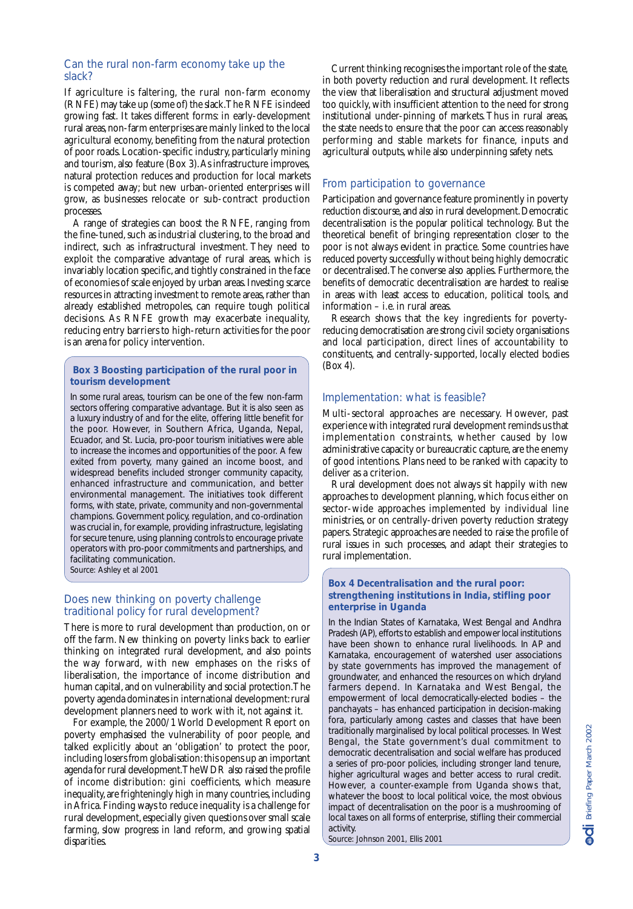#### Can the rural non-farm economy take up the slack?

If agriculture is faltering, the rural non-farm economy (RNFE) may take up (some of) the slack. The RNFE is indeed growing fast. It takes different forms: in early-development rural areas, non-farm enterprises are mainly linked to the local agricultural economy, benefiting from the natural protection of poor roads. Location-specific industry, particularly mining and tourism, also feature (Box 3). As infrastructure improves, natural protection reduces and production for local markets is competed away; but new urban-oriented enterprises will grow, as businesses relocate or sub-contract production processes.

A range of strategies can boost the RNFE, ranging from the fine-tuned, such as industrial clustering, to the broad and indirect, such as infrastructural investment. They need to exploit the comparative advantage of rural areas, which is invariably location specific, and tightly constrained in the face of economies of scale enjoyed by urban areas. Investing scarce resources in attracting investment to remote areas, rather than already established metropoles, can require tough political decisions. As RNFE growth may exacerbate inequality, reducing entry barriers to high-return activities for the poor is an arena for policy intervention.

#### **Box 3 Boosting participation of the rural poor in tourism development**

In some rural areas, tourism can be one of the few non-farm sectors offering comparative advantage. But it is also seen as a luxury industry of and for the elite, offering little benefit for the poor. However, in Southern Africa, Uganda, Nepal, Ecuador, and St. Lucia, pro-poor tourism initiatives were able to increase the incomes and opportunities of the poor. A few exited from poverty, many gained an income boost, and widespread benefits included stronger community capacity, enhanced infrastructure and communication, and better environmental management. The initiatives took different forms, with state, private, community and non-governmental champions. Government policy, regulation, and co-ordination was crucial in, for example, providing infrastructure, legislating for secure tenure, using planning controls to encourage private operators with pro-poor commitments and partnerships, and facilitating communication. *Source*: Ashley et al 2001

#### Does new thinking on poverty challenge traditional policy for rural development?

There is more to rural development than production, on or off the farm. New thinking on poverty links back to earlier thinking on integrated rural development, and also points the way forward, with new emphases on the risks of liberalisation, the importance of income distribution and human capital, and on vulnerability and social protection. The poverty agenda dominates in international development: rural development planners need to work with it, not against it.

For example, the 2000/1 World Development Report on poverty emphasised the vulnerability of poor people, and talked explicitly about an 'obligation' to protect the poor, including losers from globalisation: this opens up an important agenda for rural development. The WDR also raised the profile of income distribution: gini coefficients, which measure inequality, are frighteningly high in many countries, including in Africa. Finding ways to reduce inequality is a challenge for rural development, especially given questions over small scale farming, slow progress in land reform, and growing spatial disparities.

Current thinking recognises the important role of the state, in both poverty reduction and rural development. It reflects the view that liberalisation and structural adjustment moved too quickly, with insufficient attention to the need for strong institutional under-pinning of markets. Thus in rural areas, the state needs to ensure that the poor can access reasonably performing and stable markets for finance, inputs and agricultural outputs, while also underpinning safety nets.

#### From participation to governance

Participation and governance feature prominently in poverty reduction discourse, and also in rural development. Democratic decentralisation is the popular political technology. But the theoretical benefit of bringing representation closer to the poor is not always evident in practice. Some countries have reduced poverty successfully without being highly democratic or decentralised. The converse also applies. Furthermore, the benefits of democratic decentralisation are hardest to realise in areas with least access to education, political tools, and information – i.e. in rural areas.

Research shows that the key ingredients for povertyreducing democratisation are strong civil society organisations and local participation, direct lines of accountability to constituents, and centrally-supported, locally elected bodies (Box 4).

#### Implementation: what is feasible?

Multi-sectoral approaches are necessary. However, past experience with integrated rural development reminds us that implementation constraints, whether caused by low administrative capacity or bureaucratic capture, are the enemy of good intentions. Plans need to be ranked with capacity to deliver as a criterion.

Rural development does not always sit happily with new approaches to development planning, which focus either on sector-wide approaches implemented by individual line ministries, or on centrally-driven poverty reduction strategy papers. Strategic approaches are needed to raise the profile of rural issues in such processes, and adapt their strategies to rural implementation.

#### **Box 4 Decentralisation and the rural poor: strengthening institutions in India, stifling poor enterprise in Uganda**

In the Indian States of Karnataka, West Bengal and Andhra Pradesh (AP), efforts to establish and empower local institutions have been shown to enhance rural livelihoods. In AP and Karnataka, encouragement of watershed user associations by state governments has improved the management of groundwater, and enhanced the resources on which dryland farmers depend. In Karnataka and West Bengal, the empowerment of local democratically-elected bodies – the panchayats – has enhanced participation in decision-making fora, particularly among castes and classes that have been traditionally marginalised by local political processes. In West Bengal, the State government's dual commitment to democratic decentralisation and social welfare has produced a series of pro-poor policies, including stronger land tenure, higher agricultural wages and better access to rural credit. However, a counter-example from Uganda shows that, whatever the boost to local political voice, the most obvious impact of decentralisation on the poor is a mushrooming of local taxes on all forms of enterprise, stifling their commercial activity.

*Source:* Johnson 2001, Ellis 2001